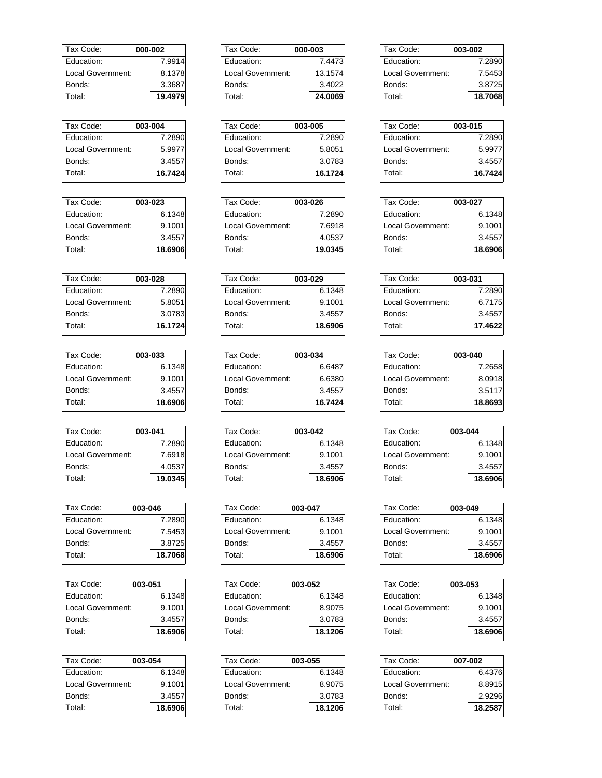| Tax Code:         | 000-002 |
|-------------------|---------|
| Fducation:        | 7.9914  |
| Local Government: | 8.1378  |
| Bonds:            | 3.3687  |
| Total:            | 19.4979 |

| Tax Code:         | 003-004 |
|-------------------|---------|
| Education:        | 7.2890  |
| Local Government: | 5.9977  |
| Bonds:            | 3.4557  |
| Total:            | 16.7424 |

| Tax Code:         | 003-023 |
|-------------------|---------|
| Education:        | 6.1348  |
| Local Government: | 9.1001  |
| Bonds:            | 3.4557  |
| Total:            | 18.6906 |

| Tax Code:         | 003-028 |
|-------------------|---------|
| Education:        | 7.2890  |
| Local Government: | 5.8051  |
| Bonds:            | 3.0783  |
| Total:            | 16.1724 |

| 003-033 |
|---------|
| 6.1348  |
| 9.1001  |
| 3.4557  |
| 18.6906 |
|         |

| Tax Code:         | 003-041 |
|-------------------|---------|
| Education:        | 7.2890  |
| Local Government: | 7.6918  |
| Bonds:            | 4.0537  |
| Total:            | 19.0345 |

| Tax Code:         | 003-046 |
|-------------------|---------|
| Education:        | 7.2890  |
| Local Government: | 7.5453  |
| Bonds:            | 3.8725  |
| Total:            | 18.7068 |
|                   |         |

| Tax Code:         | 003-051 |
|-------------------|---------|
| Fducation:        | 6.1348  |
| Local Government: | 9.1001  |
| Bonds:            | 3.4557  |
| Total:            | 18.6906 |

| Tax Code:         | 003-054 |
|-------------------|---------|
| Education:        | 6.1348  |
| Local Government: | 9.1001  |
| Bonds:            | 3.4557  |
| Total:            | 18.6906 |
|                   |         |

| Tax Code:         | 000-003 |
|-------------------|---------|
| Education:        | 7.4473  |
| Local Government: | 13.1574 |
| Bonds:            | 3.4022  |
| Total:            | 24.0069 |

| Tax Code:         | 003-005 |
|-------------------|---------|
| Education:        | 7.2890  |
| Local Government: | 5.8051  |
| Bonds:            | 3.0783  |
| Total:            | 16.1724 |

| Tax Code:         | 003-026 |
|-------------------|---------|
| Education:        | 7.2890  |
| Local Government: | 7.6918  |
| Bonds:            | 4.0537  |
| Total:            | 19.0345 |

| Tax Code:         | 003-029 |
|-------------------|---------|
| Education:        | 6.1348  |
| Local Government: | 9.1001  |
| Bonds:            | 3.4557  |
| Total:            | 18.6906 |

| Tax Code:         | 003-034 |
|-------------------|---------|
| Education:        | 6.6487  |
| Local Government: | 6.6380  |
| Bonds:            | 3.4557  |
| Total:            | 16.7424 |

| Tax Code:         | 003-042 |
|-------------------|---------|
| Education:        | 6.1348  |
| Local Government: | 9.1001  |
| Bonds:            | 3.4557  |
| Total:            | 18.6906 |

| Tax Code:         | 003-047 |
|-------------------|---------|
| Fducation:        | 6.1348  |
| Local Government: | 9.1001  |
| Bonds:            | 3.4557  |
| Total:            | 18.6906 |

| Tax Code:         | 003-052 |
|-------------------|---------|
| Education:        | 6.1348  |
| Local Government: | 8.9075  |
| Bonds:            | 3.0783  |
| Total:            | 18.1206 |

| Tax Code:         | 003-055 |
|-------------------|---------|
| Education:        | 6.1348  |
| Local Government: | 8.9075  |
| Bonds:            | 3.0783  |
| Total:            | 18.1206 |

| Tax Code:         | 003-002 |
|-------------------|---------|
| Education:        | 7.2890  |
| Local Government: | 7.5453  |
| Bonds:            | 3.8725  |
| Total:            | 18.7068 |

| Tax Code:         | 003-015 |
|-------------------|---------|
| Education:        | 7.2890  |
| Local Government: | 5.9977  |
| Bonds:            | 3.4557  |
| Total:            | 16.7424 |
|                   |         |

| Tax Code:         | 003-027 |
|-------------------|---------|
| Education:        | 6.1348  |
| Local Government: | 9.1001  |
| Bonds:            | 3.4557  |
| Total:            | 18.6906 |

| Tax Code:         | 003-031 |
|-------------------|---------|
| Education:        | 7.2890  |
| Local Government: | 6.7175  |
| Bonds:            | 3.4557  |
| Total:            | 17.4622 |

| Tax Code:         | 003-040 |
|-------------------|---------|
| Education:        | 7.2658  |
| Local Government: | 8.0918  |
| Bonds:            | 3.5117  |
| Total:            | 18.8693 |

| Tax Code:         | 003-044 |
|-------------------|---------|
| Education:        | 6.1348  |
| Local Government: | 9.1001  |
| Bonds:            | 3.4557  |
| Total:            | 18.6906 |
|                   |         |

| Tax Code:         | 003-049 |
|-------------------|---------|
| Education:        | 6.1348  |
| Local Government: | 9.1001  |
| Bonds:            | 3.4557  |
| Total:            | 18.6906 |

| Tax Code:         | 003-053 |
|-------------------|---------|
| Education:        | 6.1348  |
| Local Government: | 9.1001  |
| Bonds:            | 3.4557  |
| Total:            | 18.6906 |
|                   |         |

| Tax Code:         | 007-002 |
|-------------------|---------|
| Education:        | 6.4376  |
| Local Government: | 8.8915  |
| Bonds:            | 2.9296  |
| Total:            | 18.2587 |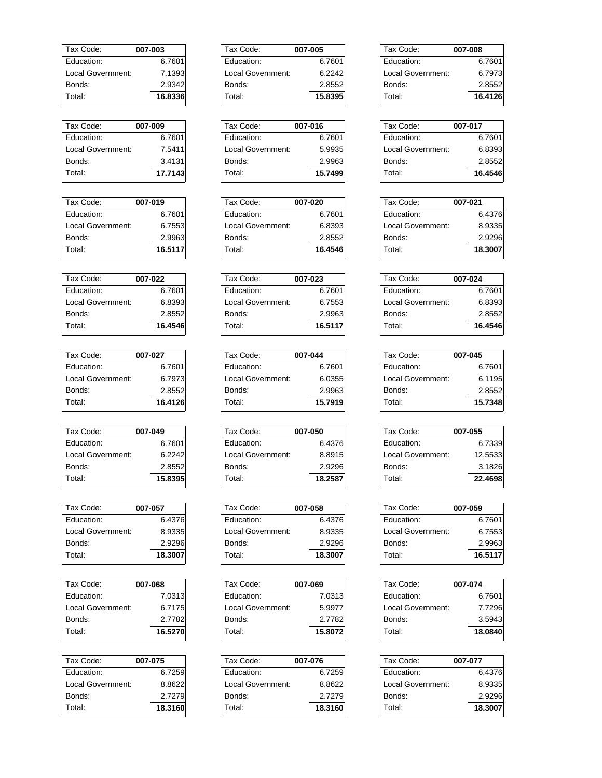| Tax Code:         | 007-003 |
|-------------------|---------|
| <b>Education:</b> | 6.7601  |
| Local Government: | 7.1393  |
| Bonds:            | 2.9342  |
| Total:            | 16.8336 |

| Tax Code:         | 007-009 |
|-------------------|---------|
| Education:        | 6.7601  |
| Local Government: | 7.5411  |
| Bonds:            | 3.4131  |
| Total:            | 17.7143 |

| Tax Code:         | 007-019 |
|-------------------|---------|
| Education:        | 6.7601  |
| Local Government: | 6.7553  |
| Bonds:            | 2.9963  |
| Total:            | 16.5117 |

| Tax Code:         | 007-022 |
|-------------------|---------|
| Education:        | 6.7601  |
| Local Government: | 6.8393  |
| Bonds:            | 2.8552  |
| Total:            | 16.4546 |

| 007-027 |
|---------|
| 6.7601  |
| 6.7973  |
| 2.8552  |
| 16.4126 |
|         |

| Tax Code:         | 007-049 |
|-------------------|---------|
| <b>Education:</b> | 6.7601  |
| Local Government: | 6.2242  |
| Bonds:            | 2.8552  |
| Total:            | 15.8395 |

| Tax Code:         | 007-057 |
|-------------------|---------|
| Education:        | 6.4376  |
| Local Government: | 8.9335  |
| Bonds:            | 2.9296  |
| Total:            | 18.3007 |

| Tax Code:         | 007-068 |
|-------------------|---------|
| Fducation:        | 7.0313  |
| Local Government: | 6.7175  |
| Bonds:            | 2.7782  |
| Total:            | 16.5270 |

| Tax Code:         | 007-075 |
|-------------------|---------|
| Education:        | 6.7259  |
| Local Government: | 8.8622  |
| Bonds:            | 2.7279  |
| Total:            | 18.3160 |
|                   |         |

| Tax Code:         | 007-005 |
|-------------------|---------|
| Education:        | 6.7601  |
| Local Government: | 6.2242  |
| Bonds:            | 2.8552  |
| Total:            | 15.8395 |

| Tax Code:         | 007-016 |
|-------------------|---------|
| Education:        | 6.7601  |
| Local Government: | 5.9935  |
| Bonds:            | 2.9963  |
| Total:            | 15.7499 |

| Tax Code:         | 007-020 |
|-------------------|---------|
| Education:        | 6.7601  |
| Local Government: | 6.8393  |
| Bonds:            | 2.8552  |
| Total:            | 16.4546 |

| Tax Code:         | 007-023 |
|-------------------|---------|
| Education:        | 6.7601  |
| Local Government: | 6.7553  |
| Bonds:            | 2.9963  |
| Total:            | 16.5117 |

| Tax Code:         | 007-044 |
|-------------------|---------|
| Education:        | 6.7601  |
| Local Government: | 6.0355  |
| Bonds:            | 2.9963  |
| Total:            | 15.7919 |

| Tax Code:         | 007-050 |
|-------------------|---------|
| Education:        | 6.4376  |
| Local Government: | 8.8915  |
| Bonds:            | 2.9296  |
| Total:            | 18.2587 |

| Tax Code:         | 007-058 |
|-------------------|---------|
| Fducation:        | 6.4376  |
| Local Government: | 8.9335  |
| Bonds:            | 2.9296  |
| Total:            | 18.3007 |
|                   |         |

| Tax Code:         | 007-069 |
|-------------------|---------|
| Education:        | 7.0313  |
| Local Government: | 5.9977  |
| Bonds:            | 2.7782  |
| Total:            | 15.8072 |

| Tax Code:         | 007-076 |
|-------------------|---------|
| Education:        | 6.7259  |
| Local Government: | 8.8622  |
| Bonds:            | 2.7279  |
| Total:            | 18.3160 |

| Tax Code:         | 007-008 |
|-------------------|---------|
| Education:        | 6.7601  |
| Local Government: | 6.7973  |
| Bonds:            | 2.8552  |
| Total:            | 16.4126 |

| Tax Code:         | 007-017 |
|-------------------|---------|
| Education:        | 6.7601  |
| Local Government: | 6.8393  |
| Bonds:            | 2.8552  |
| Total:            | 16.4546 |

| Tax Code:         | 007-021 |
|-------------------|---------|
| Education:        | 6.4376  |
| Local Government: | 8.9335  |
| Bonds:            | 2.9296  |
| Total:            | 18.3007 |

| Tax Code:         | 007-024 |
|-------------------|---------|
| Education:        | 6.7601  |
| Local Government: | 6.8393  |
| Bonds:            | 2.8552  |
| Total:            | 16.4546 |

| Tax Code:         | 007-045 |
|-------------------|---------|
| Education:        | 6.7601  |
| Local Government: | 6.1195  |
| Bonds:            | 2.8552  |
| Total:            | 15.7348 |

| Tax Code:         | 007-055 |
|-------------------|---------|
| Education:        | 6.7339  |
| Local Government: | 12.5533 |
| Bonds:            | 3.1826  |
| Total:            | 22.4698 |
|                   |         |

| Tax Code:         | 007-059 |
|-------------------|---------|
| Education:        | 6.7601  |
| Local Government: | 6.7553  |
| Bonds:            | 2.9963  |
| Total:            | 16.5117 |

| Tax Code:         | 007-074 |
|-------------------|---------|
| Education:        | 6.7601  |
| Local Government: | 7.7296  |
| Bonds:            | 3.5943  |
| Total:            | 18.0840 |
|                   |         |

| Tax Code:         | 007-077 |
|-------------------|---------|
| Education:        | 6.4376  |
| Local Government: | 8.9335  |
| Bonds:            | 2.9296  |
| Total:            | 18.3007 |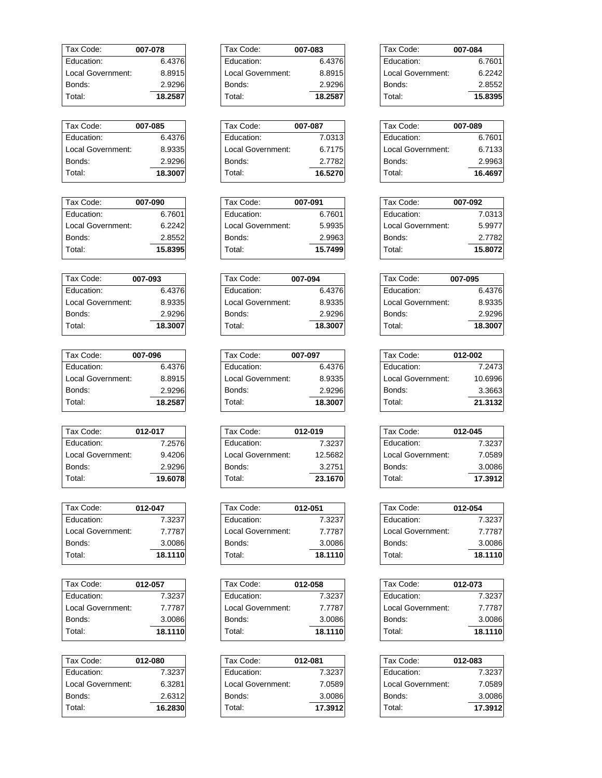| Tax Code:         | 007-078 |
|-------------------|---------|
| Fducation:        | 6.4376  |
| Local Government: | 8.8915  |
| Bonds:            | 2.9296  |
| Total:            | 18.2587 |

| Tax Code:         | 007-085 |
|-------------------|---------|
| Fducation:        | 6.4376  |
| Local Government: | 8.9335  |
| Bonds:            | 2.9296  |
| Total:            | 18.3007 |

| Tax Code:         | 007-090 |
|-------------------|---------|
| Fducation:        | 6.7601  |
| Local Government: | 6.2242  |
| Bonds:            | 2.8552  |
| Total:            | 15.8395 |

| Tax Code:          | 007-093 |
|--------------------|---------|
| Fducation:         | 6.4376  |
| I ocal Government: | 8.9335  |
| Bonds:             | 2.9296  |
| Total:             | 18.3007 |

| 007-096                     |
|-----------------------------|
| 6.4376                      |
| 8.8915<br>Local Government: |
| 2.9296                      |
| 18.2587                     |
|                             |

| Tax Code:         | 012-017 |
|-------------------|---------|
| Education:        | 7.2576  |
| Local Government: | 9.4206  |
| Bonds:            | 2.9296  |
| Total:            | 19.6078 |

| Tax Code:          | 012-047 |
|--------------------|---------|
| Education:         | 7.3237  |
| I ocal Government: | 7.7787  |
| Bonds:             | 3.0086  |
| Total:             | 18.1110 |
|                    |         |

| Tax Code:         | 012-057 |
|-------------------|---------|
| Fducation:        | 7.3237  |
| Local Government: | 7.7787  |
| Bonds:            | 3.0086  |
| Total:            | 18.1110 |

| Tax Code:         | 012-080 |
|-------------------|---------|
| Education:        | 7.3237  |
| Local Government: | 6.3281  |
| Bonds:            | 2.6312  |
| Total:            | 16.2830 |
|                   |         |

| Tax Code:         | 007-083 |
|-------------------|---------|
| Education:        | 6.4376  |
| Local Government: | 8.8915  |
| Bonds:            | 2.9296  |
| Total:            | 18.2587 |

| Tax Code:         | 007-087 |
|-------------------|---------|
| Education:        | 7.0313  |
| Local Government: | 6.7175  |
| Bonds:            | 2.7782  |
| Total:            | 16.5270 |

| Tax Code:         | 007-091 |
|-------------------|---------|
| Education:        | 6.7601  |
| Local Government: | 5.9935  |
| Bonds:            | 2.9963  |
| Total:            | 15.7499 |

| Tax Code:         | 007-094 |
|-------------------|---------|
| Education:        | 6.4376  |
| Local Government: | 8.9335  |
| Bonds:            | 2.9296  |
| Total:            | 18.3007 |

| Tax Code:         | 007-097 |
|-------------------|---------|
| Education:        | 6.4376  |
| Local Government: | 8.9335  |
| Bonds:            | 2.9296  |
| Total:            | 18.3007 |

| Tax Code:         | 012-019 |
|-------------------|---------|
| Education:        | 7.3237  |
| Local Government: | 12.5682 |
| Bonds:            | 3.2751  |
| Total:            | 23.1670 |

| Tax Code:         | 012-051 |
|-------------------|---------|
| Fducation:        | 7.3237  |
| Local Government: | 7.7787  |
| Bonds:            | 3.0086  |
| Total:            | 18.1110 |

| Tax Code:         | 012-058 |
|-------------------|---------|
| Education:        | 7.3237  |
| Local Government: | 7.7787  |
| Bonds:            | 3.0086  |
| Total:            | 18.1110 |

| Tax Code:         | 012-081 |
|-------------------|---------|
| Education:        | 7.3237  |
| Local Government: | 7.0589  |
| Bonds:            | 3.0086  |
| Total:            | 17.3912 |

| Tax Code:         | 007-084 |
|-------------------|---------|
| Education:        | 6.7601  |
| Local Government: | 6.2242  |
| Bonds:            | 2.8552  |
| Total:            | 15.8395 |

| 007-089 |
|---------|
| 6.7601  |
| 6.7133  |
| 2.9963  |
| 16.4697 |
|         |

| Tax Code:         | 007-092 |
|-------------------|---------|
| Education:        | 7.0313  |
| Local Government: | 5.9977  |
| Bonds:            | 2.7782  |
| Total:            | 15,8072 |

| Tax Code:         | 007-095 |
|-------------------|---------|
| Education:        | 6.4376  |
| Local Government: | 8.9335  |
| Bonds:            | 2.9296  |
| Total:            | 18.3007 |

| Tax Code:         | 012-002 |
|-------------------|---------|
| Education:        | 7.2473  |
| Local Government: | 10.6996 |
| Bonds:            | 3.3663  |
| Total:            | 21.3132 |

| Tax Code:         | 012-045 |
|-------------------|---------|
| Education:        | 7.3237  |
| Local Government: | 7.0589  |
| Bonds:            | 3.0086  |
| Total:            | 17.3912 |
|                   |         |

| Tax Code:         | 012-054 |
|-------------------|---------|
| Education:        | 7.3237  |
| Local Government: | 7.7787  |
| Bonds:            | 3.0086  |
| Total:            | 18.1110 |

| Tax Code:         | 012-073 |
|-------------------|---------|
| Education:        | 7.3237  |
| Local Government: | 7.7787  |
| Bonds:            | 3.0086  |
| Total:            | 18.1110 |
|                   |         |

| 012-083 |
|---------|
| 7.3237  |
| 7.0589  |
| 3.0086  |
| 17.3912 |
|         |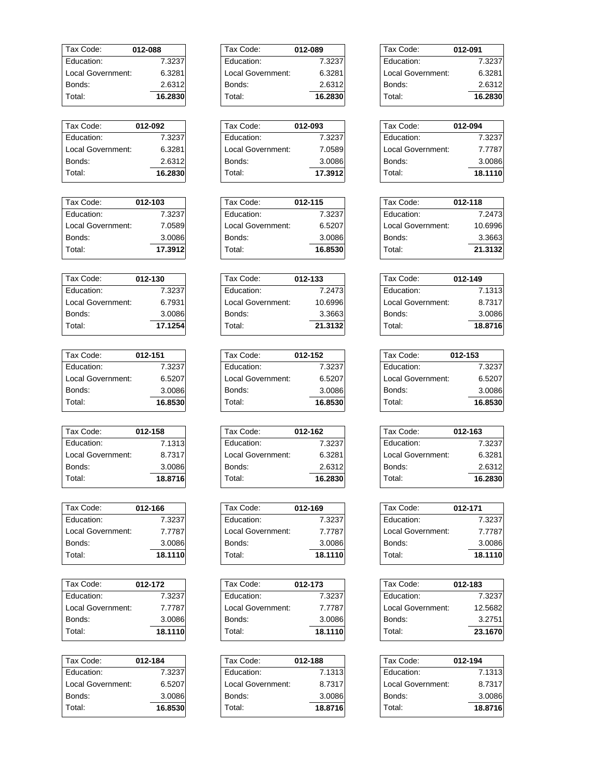| Tax Code:         | 012-088 |
|-------------------|---------|
| Education:        | 7.3237  |
| Local Government: | 6.3281  |
| Bonds:            | 2.6312  |
| Total:            | 16.2830 |

| Tax Code:         | 012-092 |
|-------------------|---------|
| Education:        | 7.3237  |
| Local Government: | 6.3281  |
| Bonds:            | 2.6312  |
| Total:            | 16.2830 |

| Tax Code:         | 012-103 |
|-------------------|---------|
| Fducation:        | 7.3237  |
| Local Government: | 7.0589  |
| Bonds:            | 3.0086  |
| Total:            | 17.3912 |

| Tax Code:         | 012-130 |
|-------------------|---------|
| <b>Education:</b> | 7.3237  |
| Local Government: | 6.7931  |
| Bonds:            | 3.0086  |
| Total:            | 17.1254 |

| Tax Code:          | 012-151 |
|--------------------|---------|
| Fducation:         | 7.3237  |
| I ocal Government: | 6.5207  |
| Bonds:             | 3.0086  |
| Total:             | 16.8530 |

| Tax Code:         | 012-158 |
|-------------------|---------|
| Education:        | 7.1313  |
| Local Government: | 8.7317  |
| Bonds:            | 3.0086  |
| Total:            | 18.8716 |

| 012-166 |
|---------|
| 7.3237  |
| 7.7787  |
| 3.0086  |
| 18.1110 |
|         |

| Tax Code:          | 012-172 |
|--------------------|---------|
| Fducation:         | 7.3237  |
| I ocal Government: | 7.7787  |
| Bonds:             | 3.0086  |
| Total:             | 18.1110 |

| Tax Code:         | 012-184 |
|-------------------|---------|
| Education:        | 7.3237  |
| Local Government: | 6.5207  |
| Bonds:            | 3.0086  |
| Total:            | 16.8530 |
|                   |         |

| Tax Code:         | 012-089 |
|-------------------|---------|
| Education:        | 7.3237  |
| Local Government: | 6.3281  |
| Bonds:            | 2.6312  |
| Total:            | 16.2830 |

| Tax Code:         | 012-093 |
|-------------------|---------|
| Education:        | 7.3237  |
| Local Government: | 7.0589  |
| Bonds:            | 3.0086  |
| Total:            | 17.3912 |

| Tax Code:         | 012-115 |
|-------------------|---------|
| Education:        | 7.3237  |
| Local Government: | 6.5207  |
| Bonds:            | 3.0086  |
| Total:            | 16.8530 |

| Tax Code:         | 012-133 |
|-------------------|---------|
| Education:        | 7.2473  |
| Local Government: | 10.6996 |
| Bonds:            | 3.3663  |
| Total:            | 21.3132 |

| Tax Code:         | 012-152 |
|-------------------|---------|
| Education:        | 7.3237  |
| Local Government: | 6.5207  |
| Bonds:            | 3.0086  |
| Total:            | 16.8530 |

| Tax Code:         | 012-162 |
|-------------------|---------|
| Education:        | 7.3237  |
| Local Government: | 6.3281  |
| Bonds:            | 2.6312  |
| Total:            | 16.2830 |

| Tax Code:         | 012-169 |
|-------------------|---------|
| Fducation:        | 7.3237  |
| Local Government: | 7.7787  |
| Bonds:            | 3.0086  |
| Total:            | 18.1110 |

| Tax Code:         | 012-173 |
|-------------------|---------|
| Education:        | 7.3237  |
| Local Government: | 7.7787  |
| Bonds:            | 3.0086  |
| Total:            | 18.1110 |

| Tax Code:         | 012-188 |
|-------------------|---------|
| Education:        | 7.1313  |
| Local Government: | 8.7317  |
| Bonds:            | 3.0086  |
| Total:            | 18.8716 |

| Tax Code:         | 012-091 |
|-------------------|---------|
| Education:        | 7.3237  |
| Local Government: | 6.3281  |
| Bonds:            | 2.6312  |
| Total:            | 16.2830 |

| Tax Code:         | 012-094 |
|-------------------|---------|
| Education:        | 7.3237  |
| Local Government: | 7.7787  |
| Bonds:            | 3.0086  |
| Total:            | 18.1110 |
|                   |         |

| Tax Code:         | 012-118 |
|-------------------|---------|
| Education:        | 7.2473  |
| Local Government: | 10.6996 |
| Bonds:            | 3.3663  |
| Total:            | 21.3132 |

| Tax Code:         | 012-149 |
|-------------------|---------|
| Education:        | 7.1313  |
| Local Government: | 8.7317  |
| Bonds:            | 3.0086  |
| Total:            | 18.8716 |

| Tax Code:         | 012-153 |
|-------------------|---------|
| Education:        | 7.3237  |
| Local Government: | 6.5207  |
| Bonds:            | 3.0086  |
| Total:            | 16.8530 |

| Tax Code:         | 012-163 |
|-------------------|---------|
| Education:        | 7.3237  |
| Local Government: | 6.3281  |
| Bonds:            | 2.6312  |
| Total:            | 16.2830 |
|                   |         |

| Tax Code:         | 012-171 |
|-------------------|---------|
| Education:        | 7.3237  |
| Local Government: | 7.7787  |
| Bonds:            | 3.0086  |
| Total:            | 18.1110 |

| Tax Code:         | 012-183 |
|-------------------|---------|
| Education:        | 7.3237  |
| Local Government: | 12.5682 |
| Bonds:            | 3.2751  |
| Total:            | 23.1670 |
|                   |         |

| Tax Code:         | 012-194 |
|-------------------|---------|
| Education:        | 7.1313  |
| Local Government: | 8.7317  |
| Bonds:            | 3.0086  |
| Total:            | 18.8716 |
|                   |         |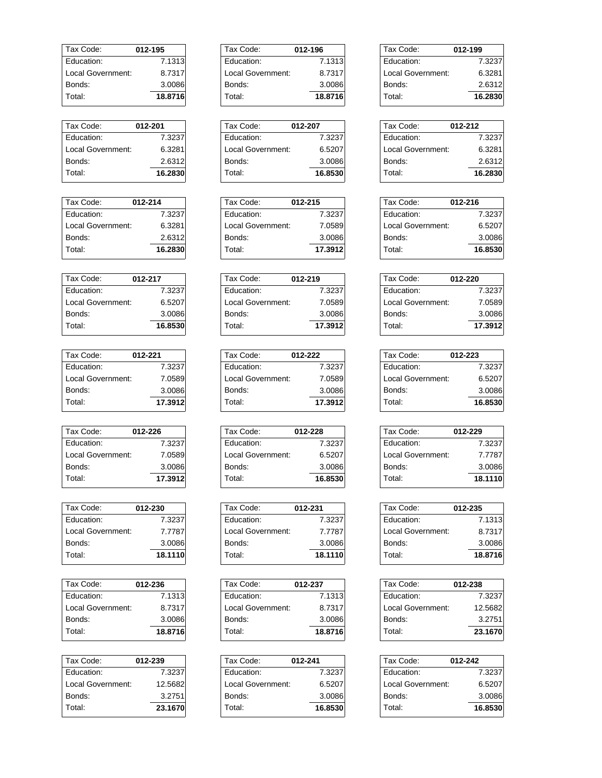| Tax Code:         | 012-195 |
|-------------------|---------|
| Fducation:        | 7.1313  |
| Local Government: | 8.7317  |
| Bonds:            | 3.0086  |
| Total:            | 18.8716 |

| Tax Code:         | 012-201 |
|-------------------|---------|
| Education:        | 7.3237  |
| Local Government: | 6.3281  |
| Bonds:            | 2.6312  |
| Total:            | 16.2830 |

| Tax Code:         | 012-214 |
|-------------------|---------|
| Education:        | 7.3237  |
| Local Government: | 6.3281  |
| Bonds:            | 2.6312  |
| Total:            | 16.2830 |

| Tax Code:         | 012-217 |
|-------------------|---------|
| <b>Education:</b> | 7.3237  |
| Local Government: | 6.5207  |
| Bonds:            | 3.0086  |
| Total:            | 16.8530 |

| Tax Code:         | 012-221 |
|-------------------|---------|
| Fducation:        | 7.3237  |
| Local Government: | 7.0589  |
| Bonds:            | 3.0086  |
| Total:            | 17.3912 |

| Tax Code:         | 012-226 |
|-------------------|---------|
| <b>Education:</b> | 7.3237  |
| Local Government: | 7.0589  |
| Bonds:            | 3.0086  |
| Total:            | 17.3912 |

| 012-230 |
|---------|
| 7.3237  |
| 7.7787  |
| 3.0086  |
| 18.1110 |
|         |

| Tax Code:         | 012-236 |
|-------------------|---------|
| Education:        | 7.1313  |
| Local Government: | 8.7317  |
| Bonds:            | 3.0086  |
| Total:            | 18.8716 |

| Tax Code:         | 012-239 |
|-------------------|---------|
| Education:        | 7.3237  |
| Local Government: | 12.5682 |
| Bonds:            | 3.2751  |
| Total:            | 23.1670 |

| Tax Code:         | 012-196 |
|-------------------|---------|
| Education:        | 7.1313  |
| Local Government: | 8.7317  |
| Bonds:            | 3.0086  |
| Total:            | 18.8716 |

| Tax Code:         | 012-207 |
|-------------------|---------|
| Education:        | 7.3237  |
| Local Government: | 6.5207  |
| Bonds:            | 3.0086  |
| Total:            | 16.8530 |

| Tax Code:         | 012-215 |
|-------------------|---------|
| Education:        | 7.3237  |
| Local Government: | 7.0589  |
| Bonds:            | 3.0086  |
| Total:            | 17.3912 |

| Tax Code:         | 012-219 |
|-------------------|---------|
| Education:        | 7.3237  |
| Local Government: | 7.0589  |
| Bonds:            | 3.0086  |
| Total:            | 17.3912 |

| Tax Code:         | 012-222 |
|-------------------|---------|
| Education:        | 7.3237  |
| Local Government: | 7.0589  |
| Bonds:            | 3.0086  |
| Total:            | 17.3912 |

| Tax Code:         | 012-228 |
|-------------------|---------|
| Education:        | 7.3237  |
| Local Government: | 6.5207  |
| Bonds:            | 3.0086  |
| Total:            | 16.8530 |

| Tax Code:         | 012-231 |
|-------------------|---------|
| Fducation:        | 7.3237  |
| Local Government: | 7.7787  |
| Bonds:            | 3.0086  |
| Total:            | 18.1110 |

| Tax Code:         | 012-237 |
|-------------------|---------|
| Education:        | 7.1313  |
| Local Government: | 8.7317  |
| Bonds:            | 3.0086  |
| Total:            | 18.8716 |

| Tax Code:         | 012-241 |
|-------------------|---------|
| Education:        | 7.3237  |
| Local Government: | 6.5207  |
| Bonds:            | 3.0086  |
| Total:            | 16.8530 |

| Tax Code:         | 012-199 |
|-------------------|---------|
| Education:        | 7.3237  |
| Local Government: | 6.3281  |
| Bonds:            | 2.6312  |
| Total:            | 16.2830 |

| 012-212                     |
|-----------------------------|
| 7.3237                      |
| Local Government:<br>6.3281 |
| 2.6312                      |
| 16.2830                     |
|                             |

| Tax Code:         | 012-216 |
|-------------------|---------|
| Education:        | 7.3237  |
| Local Government: | 6.5207  |
| Bonds:            | 3.0086  |
| Total:            | 16.8530 |

| Tax Code:         | 012-220 |
|-------------------|---------|
| Education:        | 7.3237  |
| Local Government: | 7.0589  |
| Bonds:            | 3.0086  |
| Total:            | 17.3912 |

| Tax Code:         | 012-223 |
|-------------------|---------|
| Education:        | 7.3237  |
| Local Government: | 6.5207  |
| Bonds:            | 3.0086  |
| Total:            | 16.8530 |

| Tax Code:         | 012-229 |
|-------------------|---------|
| Education:        | 7.3237  |
| Local Government: | 7.7787  |
| Bonds:            | 3.0086  |
| Total:            | 18.1110 |
|                   |         |

| Tax Code:         | 012-235 |
|-------------------|---------|
| Education:        | 7.1313  |
| Local Government: | 8.7317  |
| Bonds:            | 3.0086  |
| Total:            | 18,8716 |

| Tax Code:         | 012-238 |
|-------------------|---------|
| Education:        | 7.3237  |
| Local Government: | 12.5682 |
| Bonds:            | 3.2751  |
| Total:            | 23.1670 |
|                   |         |

| Tax Code:         | 012-242 |
|-------------------|---------|
| Education:        | 7.3237  |
| Local Government: | 6.5207  |
| Bonds:            | 3.0086  |
| Total:            | 16.8530 |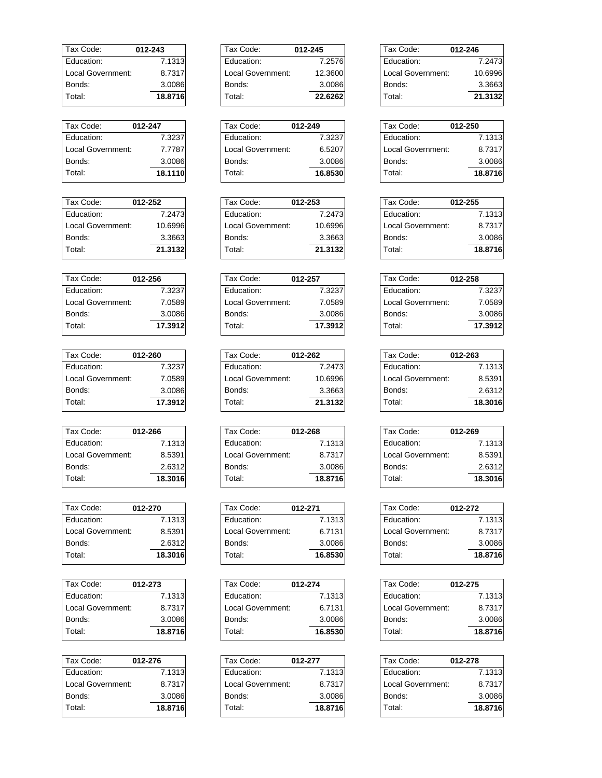| Tax Code:         | 012-243 |
|-------------------|---------|
| Fducation:        | 7.1313  |
| Local Government: | 8.7317  |
| Bonds:            | 3.0086  |
| Total:            | 18.8716 |

| Tax Code:         | 012-247 |
|-------------------|---------|
| Education:        | 7.3237  |
| Local Government: | 7.7787  |
| Bonds:            | 3.0086  |
| Total:            | 18.1110 |

| Tax Code:         | 012-252 |
|-------------------|---------|
| Education:        | 7.2473  |
| Local Government: | 10.6996 |
| Bonds:            | 3.3663  |
| Total:            | 21.3132 |

| Tax Code:         | 012-256 |
|-------------------|---------|
| <b>Education:</b> | 7.3237  |
| Local Government: | 7.0589  |
| Bonds:            | 3.0086  |
| Total:            | 17.3912 |

| Tax Code:         | 012-260 |
|-------------------|---------|
| Education:        | 7.3237  |
| Local Government: | 7.0589  |
| Bonds:            | 3.0086  |
| Total:            | 17.3912 |
|                   |         |

| Tax Code:         | 012-266 |
|-------------------|---------|
| Education:        | 7.1313  |
| Local Government: | 8.5391  |
| Bonds:            | 2.6312  |
| Total:            | 18.3016 |

| Tax Code:         | 012-270 |
|-------------------|---------|
| Education:        | 7.1313  |
| Local Government: | 8.5391  |
| Bonds:            | 2.6312  |
| Total:            | 18.3016 |

| Tax Code:         | 012-273 |
|-------------------|---------|
| Education:        | 7.1313  |
| Local Government: | 8.7317  |
| Bonds:            | 3.0086  |
| Total:            | 18.8716 |

| Tax Code:         | 012-276 |
|-------------------|---------|
| Education:        | 7.1313  |
| Local Government: | 8.7317  |
| Bonds:            | 3.0086  |
| Total:            | 18,8716 |

| Tax Code:         | 012-245 |
|-------------------|---------|
| Education:        | 7.2576  |
| Local Government: | 12.3600 |
| Bonds:            | 3.0086  |
| Total:            | 22.6262 |

| Tax Code:         | 012-249 |
|-------------------|---------|
| Education:        | 7.3237  |
| Local Government: | 6.5207  |
| Bonds:            | 3.0086  |
| Total:            | 16.8530 |

| Tax Code:         | 012-253 |
|-------------------|---------|
| Education:        | 7.2473  |
| Local Government: | 10.6996 |
| Bonds:            | 3.3663  |
| Total:            | 21.3132 |

| Tax Code:         | 012-257 |
|-------------------|---------|
| Education:        | 7.3237  |
| Local Government: | 7.0589  |
| Bonds:            | 3.0086  |
| Total:            | 17.3912 |

| Tax Code:         | 012-262 |
|-------------------|---------|
| Education:        | 7.2473  |
| Local Government: | 10.6996 |
| Bonds:            | 3.3663  |
| Total:            | 21.3132 |

| Tax Code:         | 012-268 |
|-------------------|---------|
| Education:        | 7.1313  |
| Local Government: | 8.7317  |
| Bonds:            | 3.0086  |
| Total:            | 18.8716 |

| Tax Code:         | 012-271 |
|-------------------|---------|
| Education:        | 7.1313  |
| Local Government: | 6.7131  |
| Bonds:            | 3.0086  |
| Total:            | 16.8530 |

| Tax Code:         | 012-274 |
|-------------------|---------|
| Education:        | 7.1313  |
| Local Government: | 6.7131  |
| Bonds:            | 3.0086  |
| Total:            | 16.8530 |

| Tax Code:         | 012-277 |
|-------------------|---------|
| Education:        | 7.1313  |
| Local Government: | 8.7317  |
| Bonds:            | 3.0086  |
| Total:            | 18.8716 |

| Tax Code:         | 012-246 |
|-------------------|---------|
| Education:        | 7.2473  |
| Local Government: | 10.6996 |
| Bonds:            | 3.3663  |
| Total:            | 21.3132 |

| Tax Code:         | 012-250 |
|-------------------|---------|
| Education:        | 7.1313  |
| Local Government: | 8.7317  |
| Bonds:            | 3.0086  |
| Total:            | 18,8716 |

| Tax Code:         | 012-255 |
|-------------------|---------|
| Education:        | 7.1313  |
| Local Government: | 8.7317  |
| Bonds:            | 3.0086  |
| Total:            | 18,8716 |

| Tax Code:         | 012-258 |
|-------------------|---------|
| Education:        | 7.3237  |
| Local Government: | 7.0589  |
| Bonds:            | 3.0086  |
| Total:            | 17.3912 |

| Tax Code:         | 012-263 |
|-------------------|---------|
| Education:        | 7.1313  |
| Local Government: | 8.5391  |
| Bonds:            | 2.6312  |
| Total:            | 18.3016 |

| Tax Code:         | 012-269 |
|-------------------|---------|
| Education:        | 7.1313  |
| Local Government: | 8.5391  |
| Bonds:            | 2.6312  |
| Total:            | 18.3016 |
|                   |         |

| Tax Code:         | 012-272 |
|-------------------|---------|
| Education:        | 7.1313  |
| Local Government: | 8.7317  |
| Bonds:            | 3.0086  |
| Total:            | 18.8716 |

| Tax Code:         | 012-275 |
|-------------------|---------|
| Education:        | 7.1313  |
| Local Government: | 8.7317  |
| Bonds:            | 3.0086  |
| Total:            | 18.8716 |
|                   |         |

| Tax Code:         | 012-278 |
|-------------------|---------|
| Education:        | 7.1313  |
| Local Government: | 8.7317  |
| Bonds:            | 3.0086  |
| Total:            | 18,8716 |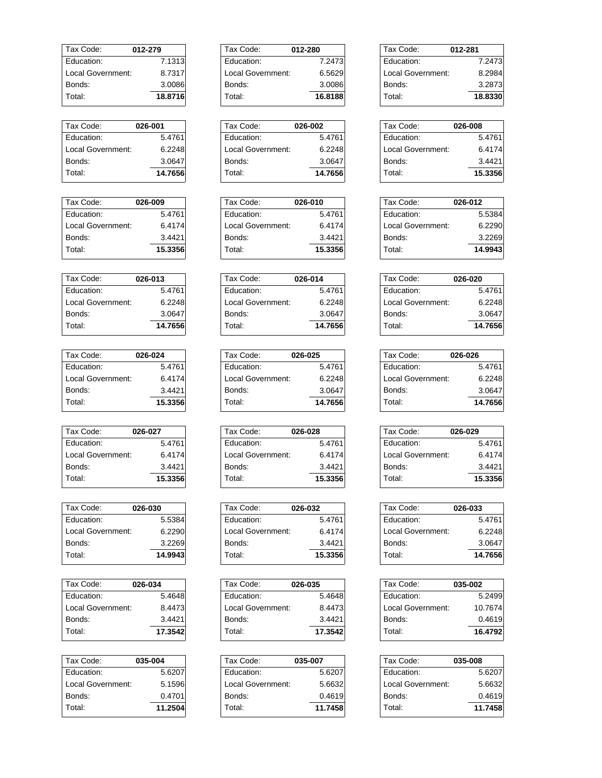| Tax Code:         | 012-279 |
|-------------------|---------|
| Education:        | 7.1313  |
| Local Government: | 8.7317  |
| Bonds:            | 3.0086  |
| Total:            | 18.8716 |

| Tax Code:         | 026-001 |
|-------------------|---------|
| Fducation:        | 5.4761  |
| Local Government: | 6.2248  |
| Bonds:            | 3.0647  |
| Total:            | 14.7656 |

| Tax Code:          | 026-009 |
|--------------------|---------|
| Fducation:         | 5.4761  |
| I ocal Government: | 6.4174  |
| Bonds:             | 3.4421  |
| Total:             | 15.3356 |

| Tax Code:         | 026-013 |
|-------------------|---------|
| Fducation:        | 5.4761  |
| Local Government: | 6.2248  |
| Bonds:            | 3.0647  |
| Total:            | 14.7656 |

| 026-024 |
|---------|
| 5.4761  |
| 6.4174  |
| 3.4421  |
| 15.3356 |
|         |

| Tax Code:         | 026-027 |
|-------------------|---------|
| Education:        | 5.4761  |
| Local Government: | 6.4174  |
| Bonds:            | 3.4421  |
| Total:            | 15.3356 |

| Tax Code:         | 026-030 |
|-------------------|---------|
| Education:        | 5.5384  |
| Local Government: | 6.2290  |
| Bonds:            | 3.2269  |
| Total:            | 14.9943 |
|                   |         |

| Tax Code:         | 026-034 |
|-------------------|---------|
| Fducation:        | 5.4648  |
| Local Government: | 8.4473  |
| Bonds:            | 3.4421  |
| Total:            | 17.3542 |

| Tax Code:         | 035-004 |
|-------------------|---------|
| Education:        | 5.6207  |
| Local Government: | 5.1596  |
| Bonds:            | 0.4701  |
| Total:            | 11.2504 |
|                   |         |

| Tax Code:         | 012-280 |
|-------------------|---------|
| Fducation:        | 7.2473  |
| Local Government: | 6.5629  |
| Bonds:            | 3.0086  |
| Total:            | 16.8188 |
|                   |         |

| Tax Code:         | 026-002 |
|-------------------|---------|
| Education:        | 5.4761  |
| Local Government: | 6.2248  |
| Bonds:            | 3.0647  |
| Total:            | 14.7656 |

| Tax Code:         | 026-010 |
|-------------------|---------|
| Education:        | 5.4761  |
| Local Government: | 6.4174  |
| Bonds:            | 3.4421  |
| Total:            | 15.3356 |

| Tax Code:         | 026-014 |
|-------------------|---------|
| Education:        | 5.4761  |
| Local Government: | 6.2248  |
| Bonds:            | 3.0647  |
| Total:            | 14.7656 |

| Tax Code:         | 026-025 |
|-------------------|---------|
| Education:        | 5.4761  |
| Local Government: | 6.2248  |
| Bonds:            | 3.0647  |
| Total:            | 14.7656 |

| Tax Code:         | 026-028 |
|-------------------|---------|
| Education:        | 5.4761  |
| Local Government: | 6.4174  |
| Bonds:            | 3.4421  |
| Total:            | 15.3356 |

| Tax Code:         | 026-032 |
|-------------------|---------|
| Fducation:        | 5.4761  |
| Local Government: | 6.4174  |
| Bonds:            | 3.4421  |
| Total:            | 15.3356 |

| Tax Code:         | 026-035 |
|-------------------|---------|
| Education:        | 5.4648  |
| Local Government: | 8.4473  |
| Bonds:            | 3.4421  |
| Total:            | 17.3542 |

| Tax Code:         | 035-007 |
|-------------------|---------|
| Education:        | 5.6207  |
| Local Government: | 5.6632  |
| Bonds:            | 0.4619  |
| Total:            | 11.7458 |

| Tax Code:         | 012-281 |
|-------------------|---------|
| Education:        | 7.2473  |
| Local Government: | 8.2984  |
| Bonds:            | 3.2873  |
| Total∶            | 18.8330 |

| 026-008 |
|---------|
| 5.4761  |
| 6.4174  |
| 3.4421  |
| 15.3356 |
|         |

| Tax Code:         | 026-012 |
|-------------------|---------|
| Education:        | 5.5384  |
| Local Government: | 6.2290  |
| Bonds:            | 3.2269  |
| Total:            | 14.9943 |

| Tax Code:         | 026-020 |
|-------------------|---------|
| Education:        | 5.4761  |
| Local Government: | 6.2248  |
| Bonds:            | 3.0647  |
| Total:            | 14.7656 |

| Tax Code:         | 026-026 |
|-------------------|---------|
| Education:        | 5.4761  |
| Local Government: | 6.2248  |
| Bonds:            | 3.0647  |
| Total:            | 14.7656 |

| Tax Code:         | 026-029 |
|-------------------|---------|
| Education:        | 5.4761  |
| Local Government: | 6.4174  |
| Bonds:            | 3.4421  |
| Total:            | 15.3356 |
|                   |         |

| Tax Code:         | 026-033 |
|-------------------|---------|
| Education:        | 5.4761  |
| Local Government: | 6.2248  |
| Bonds:            | 3.0647  |
| Total:            | 14.7656 |

| Tax Code:         | 035-002 |
|-------------------|---------|
| Fducation:        | 5.2499  |
| Local Government: | 10.7674 |
| Bonds:            | 0.4619  |
| Total:            | 16.4792 |
|                   |         |

| Tax Code:         | 035-008 |
|-------------------|---------|
| Education:        | 5.6207  |
| Local Government: | 5.6632  |
| Bonds:            | 0.4619  |
| Total:            | 11.7458 |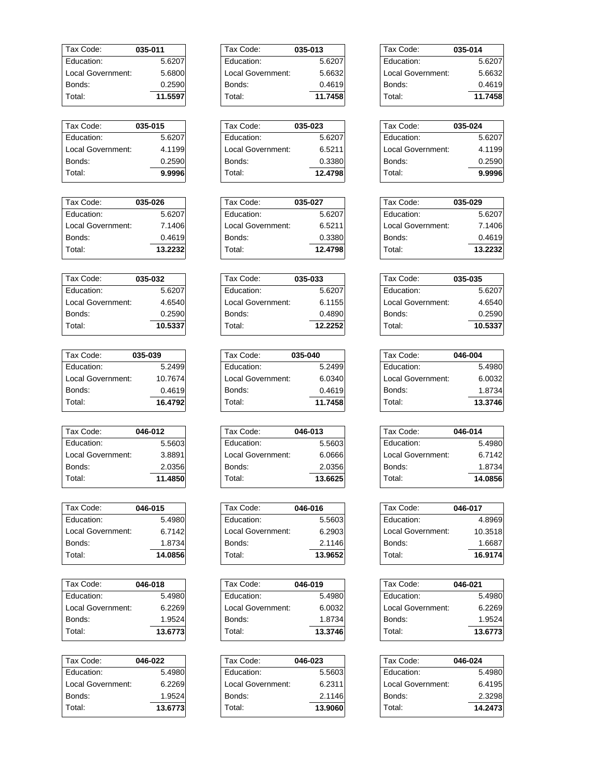| Tax Code:         | 035-011 |
|-------------------|---------|
| Fducation:        | 5.6207  |
| Local Government: | 5.6800  |
| Bonds:            | 0.2590  |
| Total:            | 11.5597 |

| Tax Code:         | 035-015 |
|-------------------|---------|
| <b>Education:</b> | 5.6207  |
| Local Government: | 4.1199  |
| Bonds:            | 0.2590  |
| Total:            | 9.9996  |

| Tax Code:         | 035-026 |
|-------------------|---------|
| Education:        | 5.6207  |
| Local Government: | 7.1406  |
| Bonds:            | 0.4619  |
| Total:            | 13.2232 |

| Tax Code:         | 035-032 |
|-------------------|---------|
| Fducation:        | 5.6207  |
| Local Government: | 4.6540  |
| Bonds:            | 0.2590  |
| Total:            | 10.5337 |

| Tax Code:         | 035-039 |
|-------------------|---------|
| Fducation:        | 5.2499  |
| Local Government: | 10.7674 |
| Bonds:            | 0.4619  |
| Total:            | 16.4792 |
|                   |         |

| Tax Code:         | 046-012 |
|-------------------|---------|
| Education:        | 5.5603  |
| Local Government: | 3.8891  |
| Bonds:            | 2.0356  |
| Total:            | 11.4850 |

| Tax Code:         | 046-015 |
|-------------------|---------|
| Education:        | 5.4980  |
| Local Government: | 6.7142  |
| Bonds:            | 1.8734  |
| Total:            | 14.0856 |
|                   |         |

| Tax Code:          | 046-018 |
|--------------------|---------|
| Education:         | 5.4980  |
| I ocal Government: | 6.2269  |
| Bonds:             | 1.9524  |
| Total:             | 13.6773 |

| Tax Code:         | 046-022 |
|-------------------|---------|
| Education:        | 5.4980  |
| Local Government: | 6.2269  |
| Bonds:            | 1.9524  |
| Total:            | 13.6773 |
|                   |         |

| Tax Code:         | 035-013 |
|-------------------|---------|
| Education:        | 5.6207  |
| Local Government: | 5.6632  |
| Bonds:            | 0.4619  |
| Total:            | 11.7458 |

| Tax Code:         | 035-023 |
|-------------------|---------|
| Education:        | 5.6207  |
| Local Government: | 6.5211  |
| Bonds:            | 0.3380  |
| Total:            | 12.4798 |

| Tax Code:         | 035-027 |
|-------------------|---------|
| Education:        | 5.6207  |
| Local Government: | 6.5211  |
| Bonds:            | 0.3380  |
| Total:            | 12.4798 |

| Tax Code:         | 035-033 |
|-------------------|---------|
| Education:        | 5.6207  |
| Local Government: | 6.1155  |
| Bonds:            | 0.4890  |
| Total:            | 12.2252 |

| Tax Code:         | 035-040 |
|-------------------|---------|
| Education:        | 5.2499  |
| Local Government: | 6.0340  |
| Bonds:            | 0.4619  |
| Total:            | 11.7458 |

| Tax Code:         | 046-013 |
|-------------------|---------|
| Education:        | 5.5603  |
| Local Government: | 6.0666  |
| Bonds:            | 2.0356  |
| Total:            | 13.6625 |

| Tax Code:         | 046-016 |
|-------------------|---------|
| Fducation:        | 5.5603  |
| Local Government: | 6.2903  |
| Bonds:            | 2.1146  |
| Total:            | 13.9652 |

| Tax Code:         | 046-019 |
|-------------------|---------|
| Education:        | 5.4980  |
| Local Government: | 6.0032  |
| Bonds:            | 1.8734  |
| Total:            | 13.3746 |

| Tax Code:         | 046-023 |
|-------------------|---------|
| Education:        | 5.5603  |
| Local Government: | 6.2311  |
| Bonds:            | 2.1146  |
| Total:            | 13.9060 |

| Tax Code:         | 035-014 |
|-------------------|---------|
| Education:        | 5.6207  |
| Local Government: | 5.6632  |
| Bonds:            | 0.4619  |
| Total:            | 11.7458 |

| Tax Code:         | 035-024 |
|-------------------|---------|
| Education:        | 5.6207  |
| Local Government: | 4.1199  |
| Bonds:            | 0.2590  |
| Total:            | 9.9996  |
|                   |         |

| Tax Code:         | 035-029 |
|-------------------|---------|
| Education:        | 5.6207  |
| Local Government: | 7.1406  |
| Bonds:            | 0.4619  |
| Total:            | 13.2232 |

| Tax Code:         | 035-035 |
|-------------------|---------|
| Education:        | 5.6207  |
| Local Government: | 4.6540  |
| Bonds:            | 0.2590  |
| Total:            | 10.5337 |

| Tax Code:         | 046-004 |
|-------------------|---------|
| Education:        | 5.4980  |
| Local Government: | 6.0032  |
| Bonds:            | 1.8734  |
| Total:            | 13.3746 |

| Tax Code:         | 046-014 |
|-------------------|---------|
| Education:        | 5.4980  |
| Local Government: | 6.7142  |
| Bonds:            | 1.8734  |
| Total:            | 14.0856 |
|                   |         |

| Tax Code:         | 046-017 |
|-------------------|---------|
| Education:        | 4.8969  |
| Local Government: | 10.3518 |
| Bonds:            | 1.6687  |
| Total:            | 16.9174 |

| Tax Code:         | 046-021 |
|-------------------|---------|
| Education:        | 5.4980  |
| Local Government: | 6.2269  |
| Bonds:            | 1.9524  |
| Total:            | 13.6773 |
|                   |         |

| Tax Code:         | 046-024 |
|-------------------|---------|
| Education:        | 5.4980  |
| Local Government: | 6.4195  |
| Bonds:            | 2.3298  |
| Total:            | 14.2473 |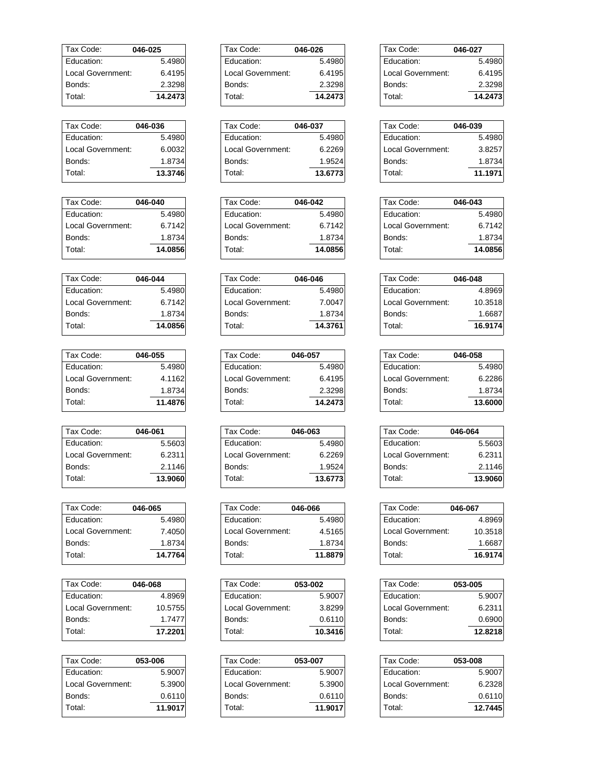| Tax Code:         | 046-025 |
|-------------------|---------|
| Fducation:        | 5.4980  |
| Local Government: | 6.4195  |
| Bonds:            | 2.3298  |
| Total:            | 14.2473 |

| Tax Code:         | 046-036 |
|-------------------|---------|
| Education:        | 5.4980  |
| Local Government: | 6.0032  |
| Bonds:            | 1.8734  |
| Total:            | 13.3746 |

| Tax Code:         | 046-040 |
|-------------------|---------|
| Fducation:        | 5.4980  |
| Local Government: | 6.7142  |
| Bonds:            | 1.8734  |
| Total:            | 14.0856 |

| Tax Code:          | 046-044 |
|--------------------|---------|
| Fducation:         | 5.4980  |
| I ocal Government: | 6.7142  |
| Bonds:             | 1.8734  |
| Total:             | 14.0856 |

| Tax Code:         | 046-055 |
|-------------------|---------|
| Education:        | 5.4980  |
| Local Government: | 4.1162  |
| Bonds:            | 1.8734  |
| Total:            | 11.4876 |
|                   |         |

| Tax Code:         | 046-061 |
|-------------------|---------|
| Education:        | 5.5603  |
| Local Government: | 6.2311  |
| Bonds:            | 2.1146  |
| Total:            | 13.9060 |

| Tax Code:          | 046-065 |
|--------------------|---------|
| Education:         | 5.4980  |
| I ocal Government: | 7.4050  |
| Bonds:             | 1.8734  |
| Total:             | 14.7764 |
|                    |         |

| Tax Code:         | 046-068 |
|-------------------|---------|
| Fducation:        | 4.8969  |
| Local Government: | 10.5755 |
| Bonds:            | 1.7477  |
| Total:            | 17.2201 |

| Tax Code:         | 053-006 |
|-------------------|---------|
| Education:        | 5.9007  |
| Local Government: | 5.3900  |
| Bonds:            | 0.6110  |
| Total:            | 11.9017 |
|                   |         |

| Tax Code:         | 046-026 |
|-------------------|---------|
| Fducation:        | 5.4980  |
| Local Government: | 6.4195  |
| Bonds:            | 2.3298  |
| Total:            | 14.2473 |
|                   |         |

| Tax Code:         | 046-037 |
|-------------------|---------|
| Education:        | 5.4980  |
| Local Government: | 6.2269  |
| Bonds:            | 1.9524  |
| Total:            | 13.6773 |

| Tax Code:         | 046-042 |
|-------------------|---------|
| Education:        | 5.4980  |
| Local Government: | 6.7142  |
| Bonds:            | 1.8734  |
| Total:            | 14.0856 |

| Tax Code:         | 046-046 |
|-------------------|---------|
| Education:        | 5.4980  |
| Local Government: | 7.0047  |
| Bonds:            | 1.8734  |
| Total:            | 14.3761 |

| Tax Code:         | 046-057 |
|-------------------|---------|
| Education:        | 5.4980  |
| Local Government: | 6.4195  |
| Bonds:            | 2.3298  |
| Total:            | 14.2473 |

| Tax Code:         | 046-063 |
|-------------------|---------|
| Education:        | 5.4980  |
| Local Government: | 6.2269  |
| Bonds:            | 1.9524  |
| Total:            | 13.6773 |

| Tax Code:         | 046-066 |
|-------------------|---------|
| Fducation:        | 5.4980  |
| Local Government: | 4.5165  |
| Bonds:            | 1.8734  |
| Total:            | 11.8879 |

| Tax Code:         | 053-002 |
|-------------------|---------|
| Education:        | 5.9007  |
| Local Government: | 3.8299  |
| Bonds:            | 0.6110  |
| Total:            | 10.3416 |

| Tax Code:         | 053-007 |
|-------------------|---------|
| Education:        | 5.9007  |
| Local Government: | 5.3900  |
| Bonds:            | 0.6110  |
| Total:            | 11.9017 |

| Tax Code:         | 046-027 |
|-------------------|---------|
| Education:        | 5.4980  |
| Local Government: | 6.4195  |
| Bonds:            | 2.3298  |
| Total:            | 14.2473 |

| Tax Code:         | 046-039 |
|-------------------|---------|
| Education:        | 5.4980  |
| Local Government: | 3.8257  |
| Bonds:            | 1.8734  |
| Total:            | 11.1971 |
|                   |         |

| Tax Code:         | 046-043 |
|-------------------|---------|
| Education:        | 5.4980  |
| Local Government: | 6.7142  |
| Bonds:            | 1.8734  |
| Total:            | 14.0856 |

| Tax Code:         | 046-048 |
|-------------------|---------|
| Education:        | 4.8969  |
| Local Government: | 10.3518 |
| Bonds:            | 1.6687  |
| Total:            | 16.9174 |

| Tax Code:         | 046-058 |
|-------------------|---------|
| Education:        | 5.4980  |
| Local Government: | 6.2286  |
| Bonds:            | 1.8734  |
| Total:            | 13.6000 |

| Tax Code:         | 046-064 |
|-------------------|---------|
| Education:        | 5.5603  |
| Local Government: | 6.2311  |
| Bonds:            | 2.1146  |
| Total:            | 13.9060 |
|                   |         |

| Tax Code:         | 046-067 |
|-------------------|---------|
| Education:        | 4.8969  |
| Local Government: | 10.3518 |
| Bonds:            | 1.6687  |
| Total:            | 16.9174 |

| Tax Code:         | 053-005 |
|-------------------|---------|
| Education:        | 5.9007  |
| Local Government: | 6.2311  |
| Bonds:            | 0.6900  |
| Total:            | 12.8218 |
|                   |         |

| 053-008 |
|---------|
| 5.9007  |
| 6.2328  |
| 0.6110  |
| 12.7445 |
|         |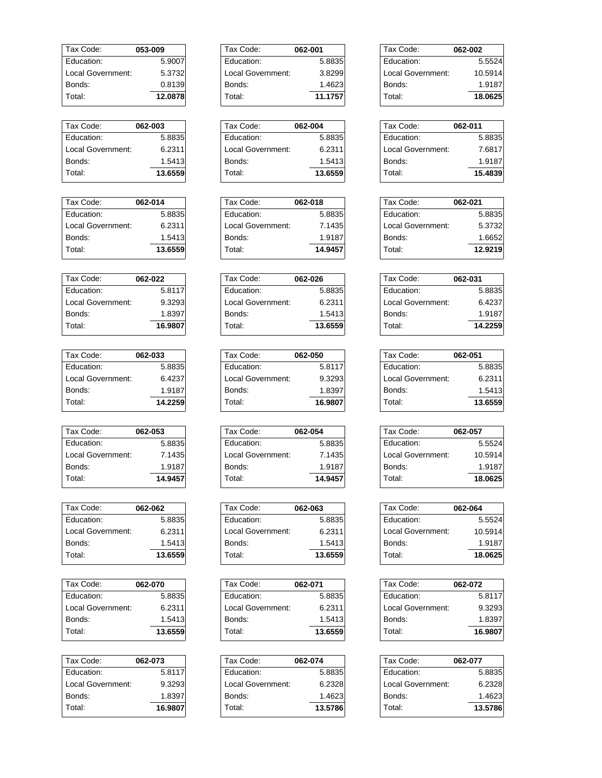| Tax Code:         | 053-009 |
|-------------------|---------|
| Fducation:        | 5.9007  |
| Local Government: | 5.3732  |
| Bonds:            | 0.8139  |
| Total:            | 12.0878 |
|                   |         |

| Tax Code:         | 062-003 |
|-------------------|---------|
| Education:        | 5.8835  |
| Local Government: | 6.2311  |
| Bonds:            | 1.5413  |
| Total:            | 13.6559 |

| Tax Code:         | 062-014 |
|-------------------|---------|
| Fducation:        | 5.8835  |
| Local Government: | 6.2311  |
| Bonds:            | 1.5413  |
| Total:            | 13.6559 |

| Tax Code:         | 062-022 |
|-------------------|---------|
| Education:        | 5.8117  |
| Local Government: | 9.3293  |
| Bonds:            | 1.8397  |
| Total:            | 16.9807 |

| Tax Code:         | 062-033 |
|-------------------|---------|
| Education:        | 5.8835  |
| Local Government: | 6.4237  |
| Bonds:            | 1.9187  |
| Total:            | 14.2259 |
|                   |         |

| Tax Code:         | 062-053 |
|-------------------|---------|
| Education:        | 5.8835  |
| Local Government: | 7.1435  |
| Bonds:            | 1.9187  |
| Total:            | 14.9457 |

| 062-062 |
|---------|
| 5.8835  |
| 6.2311  |
| 1.5413  |
| 13.6559 |
|         |

| Tax Code:          | 062-070 |
|--------------------|---------|
| Education:         | 5.8835  |
| I ocal Government: | 6.2311  |
| Bonds:             | 1.5413  |
| Total:             | 13.6559 |

| Tax Code:         | 062-073 |
|-------------------|---------|
| Education:        | 5.8117  |
| Local Government: | 9.3293  |
| Bonds:            | 1.8397  |
| Total:            | 16.9807 |

| Tax Code:         | 062-001 |
|-------------------|---------|
| Education:        | 5.8835  |
| Local Government: | 3.8299  |
| Bonds:            | 1.4623  |
| Total:            | 11.1757 |
|                   |         |

| Tax Code:         | 062-004 |
|-------------------|---------|
| Education:        | 5.8835  |
| Local Government: | 6.2311  |
| Bonds:            | 1.5413  |
| Total:            | 13.6559 |

| Tax Code:         | 062-018 |
|-------------------|---------|
| Education:        | 5.8835  |
| Local Government: | 7.1435  |
| Bonds:            | 1.9187  |
| Total:            | 14.9457 |

| Tax Code:         | 062-026 |
|-------------------|---------|
| Education:        | 5.8835  |
| Local Government: | 6.2311  |
| Bonds:            | 1.5413  |
| Total:            | 13.6559 |

| Tax Code:         | 062-050 |
|-------------------|---------|
| Education:        | 5.8117  |
| Local Government: | 9.3293  |
| Bonds:            | 1.8397  |
| Total:            | 16.9807 |

| Tax Code:         | 062-054 |
|-------------------|---------|
| Education:        | 5.8835  |
| Local Government: | 7.1435  |
| Bonds:            | 1.9187  |
| Total:            | 14.9457 |

| Tax Code:         | 062-063 |
|-------------------|---------|
| Fducation:        | 5.8835  |
| Local Government: | 6.2311  |
| Bonds:            | 1.5413  |
| Total:            | 13.6559 |

| Tax Code:         | 062-071 |
|-------------------|---------|
| Education:        | 5.8835  |
| Local Government: | 6.2311  |
| Bonds:            | 1.5413  |
| Total:            | 13.6559 |

| Tax Code:         | 062-074 |
|-------------------|---------|
| Education:        | 5.8835  |
| Local Government: | 6.2328  |
| Bonds:            | 1.4623  |
| Total:            | 13.5786 |

| Tax Code:         | 062-002 |
|-------------------|---------|
| Education:        | 5.5524  |
| Local Government: | 10.5914 |
| Bonds:            | 1.9187  |
| Total:            | 18.0625 |

| 062-011 |
|---------|
| 5.8835  |
| 7.6817  |
| 1.9187  |
| 15.4839 |
|         |

| Tax Code:         | 062-021 |
|-------------------|---------|
| Education:        | 5.8835  |
| Local Government: | 5.3732  |
| Bonds:            | 1.6652  |
| Total:            | 12.9219 |

| Tax Code:         | 062-031 |
|-------------------|---------|
| Education:        | 5.8835  |
| Local Government: | 6.4237  |
| Bonds:            | 1.9187  |
| Total:            | 14.2259 |
|                   |         |

| Tax Code:         | 062-051 |
|-------------------|---------|
| Education:        | 5.8835  |
| Local Government: | 6.2311  |
| Bonds:            | 1.5413  |
| Total:            | 13.6559 |

| Tax Code:         | 062-057 |
|-------------------|---------|
| Education:        | 5.5524  |
| Local Government: | 10.5914 |
| Bonds:            | 1.9187  |
| Total:            | 18.0625 |
|                   |         |

| Tax Code:         | 062-064 |
|-------------------|---------|
| Education:        | 5.5524  |
| Local Government: | 10.5914 |
| Bonds:            | 1.9187  |
| Total:            | 18.0625 |

| Tax Code:         | 062-072 |
|-------------------|---------|
| Education:        | 5.8117  |
| Local Government: | 9.3293  |
| Bonds:            | 1.8397  |
| Total:            | 16.9807 |
|                   |         |

| Tax Code:         | 062-077 |
|-------------------|---------|
| Education:        | 5.8835  |
| Local Government: | 6.2328  |
| Bonds:            | 1.4623  |
| Total:            | 13.5786 |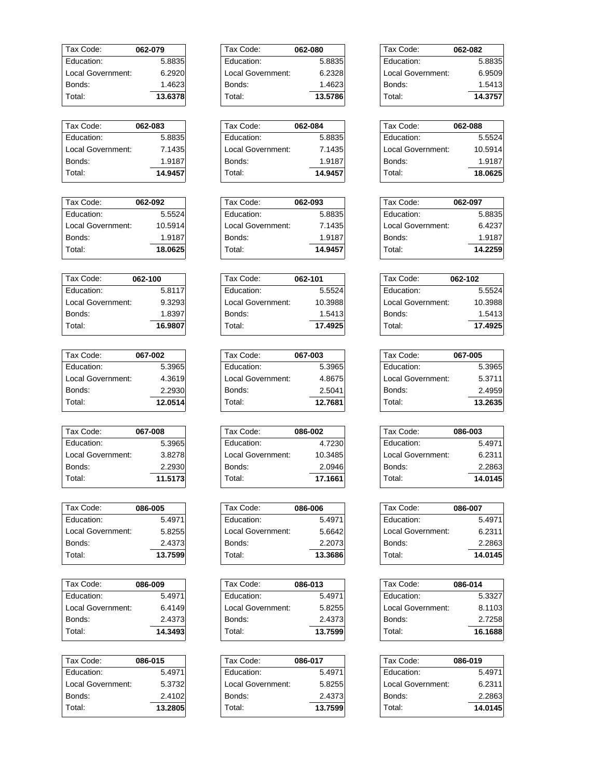| Tax Code:         | 062-079 |
|-------------------|---------|
| Fducation:        | 5.8835  |
| Local Government: | 6.2920  |
| Bonds:            | 1.4623  |
| Total:            | 13.6378 |

| Tax Code:         | 062-083 |
|-------------------|---------|
| Education:        | 5.8835  |
| Local Government: | 7.1435  |
| Bonds:            | 1.9187  |
| Total:            | 14.9457 |

| Tax Code:         | 062-092 |
|-------------------|---------|
| Education:        | 5.5524  |
| Local Government: | 10.5914 |
| Bonds:            | 1.9187  |
| Total:            | 18.0625 |

| Tax Code:         | 062-100 |
|-------------------|---------|
| Education:        | 5.8117  |
| Local Government: | 9.3293  |
| Bonds:            | 1.8397  |
| Total:            | 16.9807 |

| 067-002 |
|---------|
| 5.3965  |
| 4.3619  |
| 2.2930  |
| 12.0514 |
|         |

| Tax Code:         | 067-008 |
|-------------------|---------|
| Fducation:        | 5.3965  |
| Local Government: | 3.8278  |
| Bonds:            | 2.2930  |
| Total:            | 11.5173 |

| Tax Code:         | 086-005 |
|-------------------|---------|
| Education:        | 5.4971  |
| Local Government: | 5.8255  |
| Bonds:            | 2.4373  |
| Total:            | 13.7599 |
|                   |         |

| Tax Code:         | 086-009 |
|-------------------|---------|
| Fducation:        | 5.4971  |
| Local Government: | 6.4149  |
| Bonds:            | 2.4373  |
| Total:            | 14.3493 |

| Tax Code:         | 086-015 |
|-------------------|---------|
| Education:        | 5.4971  |
| Local Government: | 5.3732  |
| Bonds:            | 2.4102  |
| Total:            | 13.2805 |
|                   |         |

| Tax Code:         | 062-080 |
|-------------------|---------|
| Education:        | 5.8835  |
| Local Government: | 6.2328  |
| Bonds:            | 1.4623  |
| Total:            | 13.5786 |
|                   |         |

| Tax Code:         | 062-084 |
|-------------------|---------|
| Education:        | 5.8835  |
| Local Government: | 7.1435  |
| Bonds:            | 1.9187  |
| Total:            | 14.9457 |

| Tax Code:         | 062-093 |
|-------------------|---------|
| Education:        | 5.8835  |
| Local Government: | 7.1435  |
| Bonds:            | 1.9187  |
| Total:            | 14.9457 |

| Tax Code:         | 062-101 |
|-------------------|---------|
| Fducation:        | 5.5524  |
| Local Government: | 10.3988 |
| Bonds:            | 1.5413  |
| Total:            | 17.4925 |

| Tax Code:         | 067-003 |
|-------------------|---------|
| Education:        | 5.3965  |
| Local Government: | 4.8675  |
| Bonds:            | 2.5041  |
| Total:            | 12.7681 |

| Tax Code:         | 086-002 |
|-------------------|---------|
| Education:        | 4.7230  |
| Local Government: | 10.3485 |
| Bonds:            | 2.0946  |
| Total:            | 17.1661 |

| Tax Code:         | 086-006 |
|-------------------|---------|
| Fducation:        | 5.4971  |
| Local Government: | 5.6642  |
| Bonds:            | 2.2073  |
| Total:            | 13.3686 |

| Tax Code:         | 086-013 |
|-------------------|---------|
| Education:        | 5.4971  |
| Local Government: | 5.8255  |
| Bonds:            | 2.4373  |
| Total:            | 13.7599 |

| Tax Code:         | 086-017 |
|-------------------|---------|
| Education:        | 5.4971  |
| Local Government: | 5.8255  |
| Bonds:            | 2.4373  |
| Total:            | 13.7599 |

| Tax Code:         | 062-082 |
|-------------------|---------|
| Education:        | 5.8835  |
| Local Government: | 6.9509  |
| Bonds:            | 1.5413  |
| Total:            | 14.3757 |

| Tax Code:         | 062-088 |
|-------------------|---------|
| Education:        | 5.5524  |
| Local Government: | 10.5914 |
| Bonds:            | 1.9187  |
| Total:            | 18.0625 |
|                   |         |

| Tax Code:         | 062-097 |
|-------------------|---------|
| Education:        | 5.8835  |
| Local Government: | 6.4237  |
| Bonds:            | 1.9187  |
| Total:            | 14.2259 |

| Tax Code:         | 062-102 |
|-------------------|---------|
| Education:        | 5.5524  |
| Local Government: | 10.3988 |
| Bonds:            | 1.5413  |
| Total:            | 17.4925 |

| Tax Code:         | 067-005 |
|-------------------|---------|
| Education:        | 5.3965  |
| Local Government: | 5.3711  |
| Bonds:            | 2.4959  |
| Total:            | 13.2635 |

| Tax Code:         | 086-003 |
|-------------------|---------|
| Education:        | 5.4971  |
| Local Government: | 6.2311  |
| Bonds:            | 2.2863  |
| Total:            | 14.0145 |
|                   |         |

| Tax Code:         | 086-007 |
|-------------------|---------|
| Education:        | 5.4971  |
| Local Government: | 6.2311  |
| Bonds:            | 2.2863  |
| Total:            | 14.0145 |

| Tax Code:         | 086-014 |
|-------------------|---------|
| Education:        | 5.3327  |
| Local Government: | 8.1103  |
| Bonds:            | 2.7258  |
| Total:            | 16.1688 |
|                   |         |

| Tax Code:         | 086-019 |
|-------------------|---------|
| Education:        | 5.4971  |
| Local Government: | 6.2311  |
| Bonds:            | 2.2863  |
| Total:            | 14.0145 |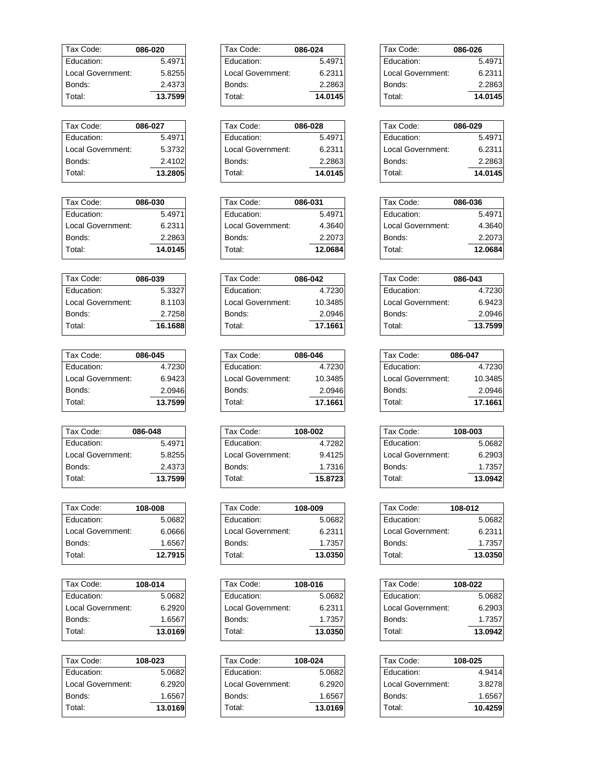| Tax Code:         | 086-020 |
|-------------------|---------|
| Fducation:        | 5.4971  |
| Local Government: | 5.8255  |
| Bonds:            | 2.4373  |
| Total:            | 13.7599 |

| Tax Code:         | 086-027 |
|-------------------|---------|
| Education:        | 5.4971  |
| Local Government: | 5.3732  |
| Bonds:            | 2.4102  |
| Total:            | 13.2805 |

| Tax Code:         | 086-030 |
|-------------------|---------|
| Fducation:        | 5.4971  |
| Local Government: | 6.2311  |
| Bonds:            | 2.2863  |
| Total:            | 14.0145 |

| Tax Code:         | 086-039 |
|-------------------|---------|
| Fducation:        | 5.3327  |
| Local Government: | 8.1103  |
| Bonds:            | 2.7258  |
| Total:            | 16.1688 |

| Tax Code:         | 086-045 |
|-------------------|---------|
| Fducation:        | 4.7230  |
| Local Government: | 6.9423  |
| Bonds:            | 2.0946  |
| Total:            | 13.7599 |
|                   |         |

| Tax Code:         | 086-048 |
|-------------------|---------|
| <b>Education:</b> | 5.4971  |
| Local Government: | 5.8255  |
| Bonds:            | 2.4373  |
| Total:            | 13.7599 |

| Tax Code:          | 108-008 |
|--------------------|---------|
| Fducation:         | 5.0682  |
| I ocal Government: | 6.0666  |
| Bonds:             | 1.6567  |
| Total:             | 12.7915 |
|                    |         |

| Tax Code:          | 108-014 |
|--------------------|---------|
| Fducation:         | 5.0682  |
| I ocal Government: | 6.2920  |
| Bonds:             | 1.6567  |
| Total:             | 13.0169 |

| Tax Code:         | 108-023 |
|-------------------|---------|
| Education:        | 5.0682  |
| Local Government: | 6.2920  |
| Bonds:            | 1.6567  |
| Total:            | 13.0169 |
|                   |         |

| Tax Code:         | 086-024 |
|-------------------|---------|
| Fducation:        | 5.4971  |
| Local Government: | 6.2311  |
| Bonds:            | 2.2863  |
| Total:            | 14.0145 |

| Tax Code:         | 086-028 |
|-------------------|---------|
| Education:        | 5.4971  |
| Local Government: | 6.2311  |
| Bonds:            | 2.2863  |
| Total:            | 14.0145 |

| Tax Code:         | 086-031 |
|-------------------|---------|
| Education:        | 5.4971  |
| Local Government: | 4.3640  |
| Bonds:            | 2.2073  |
| Total:            | 12.0684 |

| Tax Code:         | 086-042 |
|-------------------|---------|
| Education:        | 4.7230  |
| Local Government: | 10.3485 |
| Bonds:            | 2.0946  |
| Total:            | 17.1661 |

| Tax Code:         | 086-046 |
|-------------------|---------|
| Education:        | 4.7230  |
| Local Government: | 10.3485 |
| Bonds:            | 2.0946  |
| Total:            | 17.1661 |

| Tax Code:         | 108-002 |
|-------------------|---------|
| Education:        | 4.7282  |
| Local Government: | 9.4125  |
| Bonds:            | 1.7316  |
| Total:            | 15.8723 |

| Tax Code:         | 108-009 |
|-------------------|---------|
| Education:        | 5.0682  |
| Local Government: | 6.2311  |
| Bonds:            | 1.7357  |
| Total:            | 13.0350 |

| Tax Code:         | 108-016 |
|-------------------|---------|
| Education:        | 5.0682  |
| Local Government: | 6.2311  |
| Bonds:            | 1.7357  |
| Total:            | 13.0350 |

| Tax Code:         | 108-024 |
|-------------------|---------|
| Education:        | 5.0682  |
| Local Government: | 6.2920  |
| Bonds:            | 1.6567  |
| Total:            | 13.0169 |

| Tax Code:         | 086-026 |
|-------------------|---------|
| Education:        | 5.4971  |
| Local Government: | 6.2311  |
| Bonds:            | 2.2863  |
| Total:            | 14.0145 |

| Tax Code:         | 086-029 |
|-------------------|---------|
| Education:        | 5.4971  |
| Local Government: | 6.2311  |
| Bonds:            | 2.2863  |
| Total:            | 14.0145 |
|                   |         |

| Tax Code:         | 086-036 |
|-------------------|---------|
| Education:        | 5.4971  |
| Local Government: | 4.3640  |
| Bonds:            | 2.2073  |
| Total:            | 12.0684 |

| Tax Code:         | 086-043 |
|-------------------|---------|
| Education:        | 4.7230  |
| Local Government: | 6.9423  |
| Bonds:            | 2.0946  |
| Total:            | 13.7599 |

| Tax Code:         | 086-047 |
|-------------------|---------|
| Education:        | 4.7230  |
| Local Government: | 10.3485 |
| Bonds:            | 2.0946  |
| Total:            | 17.1661 |

| Tax Code:         | 108-003 |
|-------------------|---------|
| Education:        | 5.0682  |
| Local Government: | 6.2903  |
| Bonds:            | 1.7357  |
| Total:            | 13.0942 |

| Tax Code:         | 108-012 |
|-------------------|---------|
| Education:        | 5.0682  |
| Local Government: | 6.2311  |
| Bonds:            | 1.7357  |
| Total:            | 13.0350 |

| Tax Code:         | 108-022 |
|-------------------|---------|
| Education:        | 5.0682  |
| Local Government: | 6.2903  |
| Bonds:            | 1.7357  |
| Total:            | 13.0942 |
|                   |         |

| Tax Code:         | 108-025 |
|-------------------|---------|
| Education:        | 4.9414  |
| Local Government: | 3.8278  |
| Bonds:            | 1.6567  |
| Total:            | 10.4259 |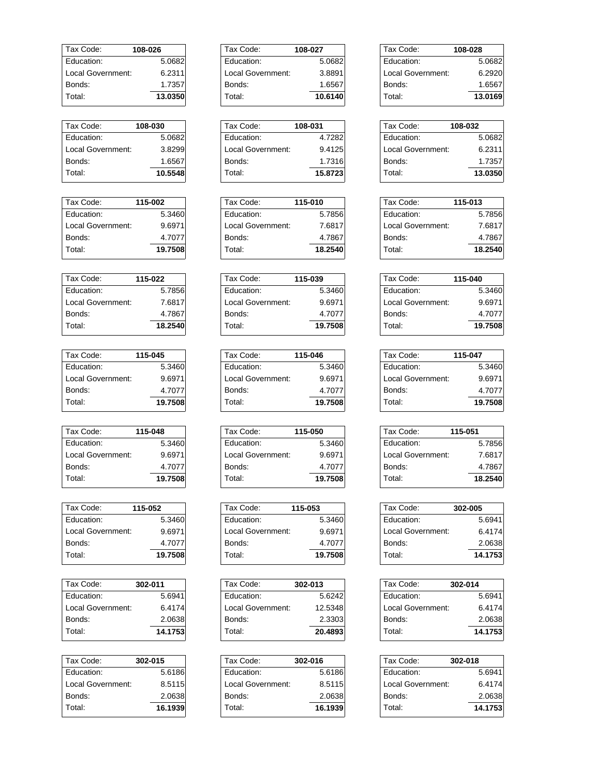| Tax Code:         | 108-026 |
|-------------------|---------|
| Fducation:        | 5.0682  |
| Local Government: | 6.2311  |
| Bonds:            | 1.7357  |
| Total:            | 13.0350 |

| Tax Code:         | 108-030 |
|-------------------|---------|
| Education:        | 5.0682  |
| Local Government: | 3.8299  |
| Bonds:            | 1.6567  |
| Total:            | 10.5548 |

| Tax Code:         | 115-002 |
|-------------------|---------|
| Fducation:        | 5.3460  |
| Local Government: | 9.6971  |
| Bonds:            | 4.7077  |
| Total:            | 19.7508 |

| Tax Code:         | 115-022 |
|-------------------|---------|
| Education:        | 5.7856  |
| Local Government: | 7.6817  |
| Bonds:            | 4.7867  |
| Total:            | 18.2540 |

| Tax Code:         | 115-045 |
|-------------------|---------|
| Fducation:        | 5.3460  |
| Local Government: | 9.6971  |
| Bonds:            | 4.7077  |
| Total:            | 19.7508 |
|                   |         |

| Tax Code:         | 115-048 |
|-------------------|---------|
| Education:        | 5.3460  |
| Local Government: | 9.6971  |
| Bonds:            | 4.7077  |
| Total:            | 19.7508 |

| 115-052                     |
|-----------------------------|
| 5.3460                      |
| 9.6971<br>Local Government: |
| 4.7077                      |
| 19.7508                     |
|                             |

| Tax Code:         | 302-011 |
|-------------------|---------|
| Fducation:        | 5.6941  |
| Local Government: | 6.4174  |
| Bonds:            | 2.0638  |
| Total:            | 14.1753 |

| Tax Code:         | 302-015 |
|-------------------|---------|
| Education:        | 5.6186  |
| Local Government: | 8.5115  |
| Bonds:            | 2.0638  |
| Total:            | 16.1939 |
|                   |         |

| 108-027 |
|---------|
| 5.0682  |
| 3.8891  |
| 1.6567  |
| 10.6140 |
|         |

| Tax Code:         | 108-031 |
|-------------------|---------|
| Education:        | 4.7282  |
| Local Government: | 9.4125  |
| Bonds:            | 1.7316  |
| Total:            | 15.8723 |

| Tax Code:         | 115-010 |
|-------------------|---------|
| Education:        | 5.7856  |
| Local Government: | 7.6817  |
| Bonds:            | 4.7867  |
| Total:            | 18.2540 |

| Tax Code:         | 115-039 |
|-------------------|---------|
| Education:        | 5.3460  |
| Local Government: | 9.6971  |
| Bonds:            | 4.7077  |
| Total:            | 19.7508 |

| Tax Code:         | 115-046 |
|-------------------|---------|
| Education:        | 5.3460  |
| Local Government: | 9.6971  |
| Bonds:            | 4.7077  |
| Total:            | 19.7508 |

| Tax Code:         | 115-050 |
|-------------------|---------|
| Education:        | 5.3460  |
| Local Government: | 9.6971  |
| Bonds:            | 4.7077  |
| Total:            | 19.7508 |

| Tax Code:         | 115-053 |
|-------------------|---------|
| Fducation:        | 5.3460  |
| Local Government: | 9.6971  |
| Bonds:            | 4.7077  |
| Total:            | 19.7508 |

| Tax Code:         | 302-013 |
|-------------------|---------|
| Education:        | 5.6242  |
| Local Government: | 12.5348 |
| Bonds:            | 2.3303  |
| Total:            | 20.4893 |

| Tax Code:         | 302-016 |
|-------------------|---------|
| Education:        | 5.6186  |
| Local Government: | 8.5115  |
| Bonds:            | 2.0638  |
| Total:            | 16.1939 |

| Tax Code:         | 108-028 |
|-------------------|---------|
| Education:        | 5.0682  |
| Local Government: | 6.2920  |
| Bonds:            | 1.6567  |
| Total∶            | 13.0169 |

| Tax Code:         | 108-032 |
|-------------------|---------|
| Education:        | 5.0682  |
| Local Government: | 6.2311  |
| Bonds:            | 1.7357  |
| Total:            | 13.0350 |

| Tax Code:         | 115-013 |
|-------------------|---------|
| Education:        | 5.7856  |
| Local Government: | 7.6817  |
| Bonds:            | 4.7867  |
| Total:            | 18.2540 |

| Tax Code:         | 115-040 |
|-------------------|---------|
| Education:        | 5.3460  |
| Local Government: | 9.6971  |
| Bonds:            | 4.7077  |
| Total:            | 19.7508 |

| Tax Code:         | 115-047 |
|-------------------|---------|
| Education:        | 5.3460  |
| Local Government: | 9.6971  |
| Bonds:            | 4.7077  |
| Total:            | 19.7508 |

| Tax Code:         | 115-051 |
|-------------------|---------|
| Education:        | 5.7856  |
| Local Government: | 7.6817  |
| Bonds:            | 4.7867  |
| Total:            | 18.2540 |
|                   |         |

| Tax Code:         | 302-005 |
|-------------------|---------|
| Education:        | 5.6941  |
| Local Government: | 6.4174  |
| Bonds:            | 2.0638  |
| Total:            | 14.1753 |

| Tax Code:         | 302-014 |
|-------------------|---------|
| Education:        | 5.6941  |
| Local Government: | 6.4174  |
| Bonds:            | 2.0638  |
| Total:            | 14.1753 |
|                   |         |

| Tax Code:         | 302-018 |
|-------------------|---------|
| Education:        | 5.6941  |
| Local Government: | 6.4174  |
| Bonds:            | 2.0638  |
| Total:            | 14.1753 |